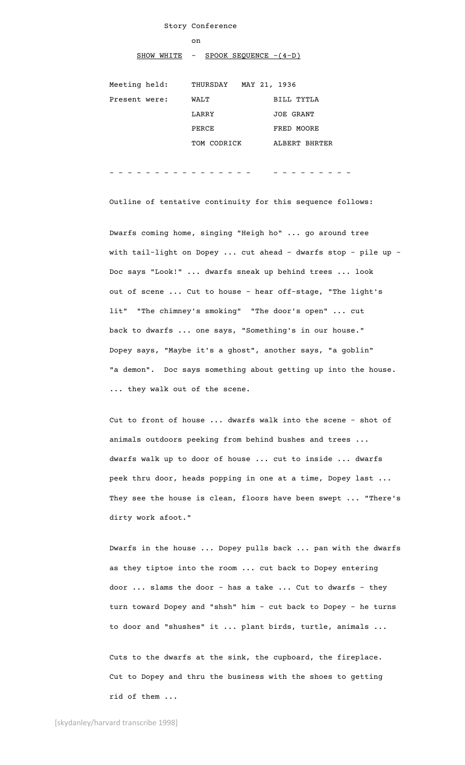## Story Conference

#### on

SHOW WHITE  $-$  SPOOK SEQUENCE  $-(4-D)$ 

| Meeting held: | MAY 21, 1936<br>THURSDAY |                  |
|---------------|--------------------------|------------------|
| Present were: | WALT                     | BILL TYTLA       |
|               | LARRY                    | <b>JOE GRANT</b> |
|               | PERCE                    | FRED MOORE       |
|               | TOM CODRICK              | ALBERT BHRTER    |

#### - - - - - - - - - - - - - - - - - - - - - - - - -

Outline of tentative continuity for this sequence follows:

Dwarfs coming home, singing "Heigh ho" ... go around tree with tail-light on Dopey ... cut ahead - dwarfs stop - pile up -Doc says "Look!" ... dwarfs sneak up behind trees ... look out of scene ... Cut to house - hear off-stage, "The light's lit" "The chimney's smoking" "The door's open" ... cut back to dwarfs ... one says, "Something's in our house." Dopey says, "Maybe it's a ghost", another says, "a goblin" "a demon". Doc says something about getting up into the house. ... they walk out of the scene.

Cut to front of house ... dwarfs walk into the scene - shot of animals outdoors peeking from behind bushes and trees ... dwarfs walk up to door of house ... cut to inside ... dwarfs peek thru door, heads popping in one at a time, Dopey last ... They see the house is clean, floors have been swept ... "There's dirty work afoot."

Dwarfs in the house ... Dopey pulls back ... pan with the dwarfs as they tiptoe into the room ... cut back to Dopey entering door ... slams the door - has a take ... Cut to dwarfs - they turn toward Dopey and "shsh" him - cut back to Dopey - he turns to door and "shushes" it ... plant birds, turtle, animals ...

Cuts to the dwarfs at the sink, the cupboard, the fireplace. Cut to Dopey and thru the business with the shoes to getting rid of them ...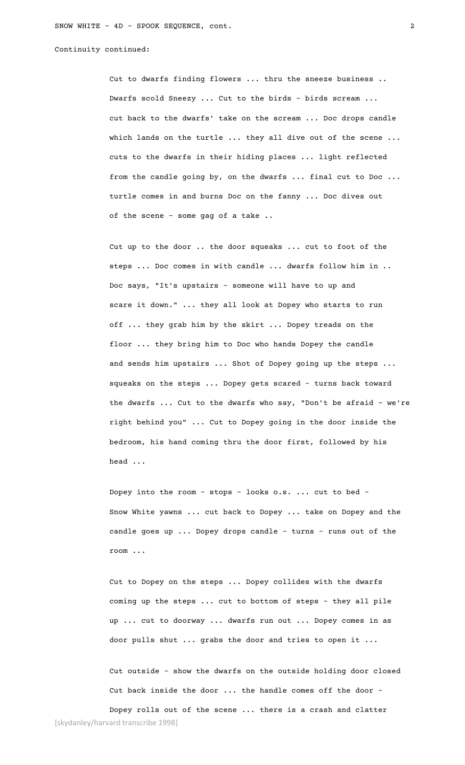Continuity continued:

Cut to dwarfs finding flowers ... thru the sneeze business .. Dwarfs scold Sneezy ... Cut to the birds - birds scream ... cut back to the dwarfs' take on the scream ... Doc drops candle which lands on the turtle ... they all dive out of the scene ... cuts to the dwarfs in their hiding places ... light reflected from the candle going by, on the dwarfs ... final cut to Doc ... turtle comes in and burns Doc on the fanny ... Doc dives out of the scene - some gag of a take ..

Cut up to the door .. the door squeaks ... cut to foot of the steps ... Doc comes in with candle ... dwarfs follow him in .. Doc says, "It's upstairs - someone will have to up and scare it down." ... they all look at Dopey who starts to run off ... they grab him by the skirt ... Dopey treads on the floor ... they bring him to Doc who hands Dopey the candle and sends him upstairs ... Shot of Dopey going up the steps ... squeaks on the steps ... Dopey gets scared - turns back toward the dwarfs ... Cut to the dwarfs who say, "Don't be afraid – we're right behind you" ... Cut to Dopey going in the door inside the bedroom, his hand coming thru the door first, followed by his head ...

Dopey into the room - stops - looks o.s. ... cut to bed - Snow White yawns ... cut back to Dopey ... take on Dopey and the candle goes up ... Dopey drops candle - turns - runs out of the room ...

Cut to Dopey on the steps ... Dopey collides with the dwarfs coming up the steps ... cut to bottom of steps - they all pile up ... cut to doorway ... dwarfs run out ... Dopey comes in as door pulls shut ... grabs the door and tries to open it ...

Cut outside - show the dwarfs on the outside holding door closed Cut back inside the door ... the handle comes off the door –

[skydanley/harvard transcribe 1998] Dopey rolls out of the scene ... there is a crash and clatter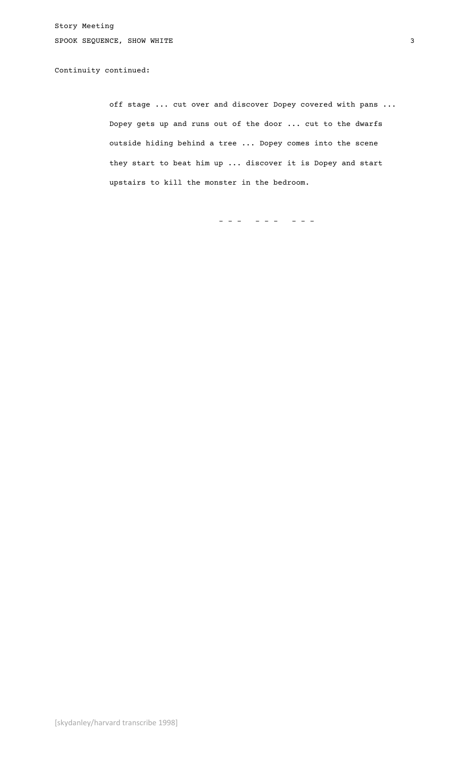Story Meeting SPOOK SEQUENCE, SHOW WHITE 3

# Continuity continued:

off stage ... cut over and discover Dopey covered with pans ... Dopey gets up and runs out of the door ... cut to the dwarfs outside hiding behind a tree ... Dopey comes into the scene they start to beat him up ... discover it is Dopey and start upstairs to kill the monster in the bedroom.

- - - - - - - - -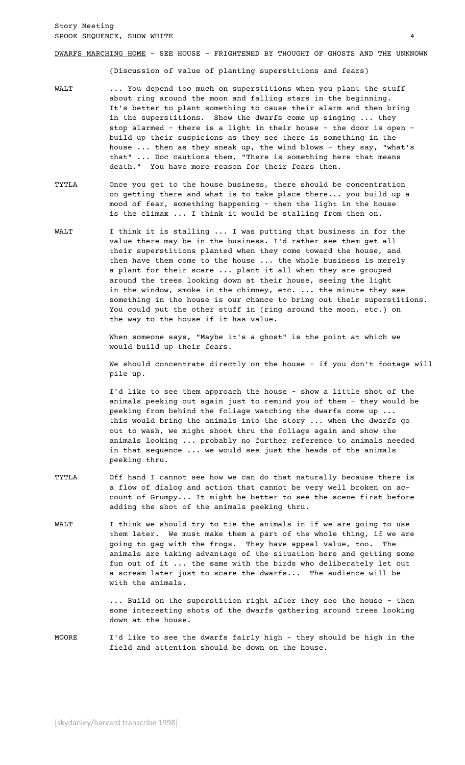## DWARFS MARCHING HOME - SEE HOUSE - FRIGHTENED BY THOUGHT OF GHOSTS AND THE UNKNOWN

(Discussion of value of planting superstitions and fears)

- WALT ... You depend too much on superstitions when you plant the stuff about ring around the moon and falling stars in the beginning. It's better to plant something to cause their alarm and then bring in the superstitions. Show the dwarfs come up singing ... they stop alarmed - there is a light in their house - the door is open – build up their suspicions as they see there is something in the house ... then as they sneak up, the wind blows - they say, "what's that" ... Doc cautions them, "There is something here that means death." You have more reason for their fears then.
- TYTLA Once you get to the house business, there should be concentration on getting there and what is to take place there... you build up a mood of fear, something happening - then the light in the house is the climax ... I think it would be stalling from then on.
- WALT I think it is stalling ... I was putting that business in for the value there may be in the business. I'd rather see them get all their superstitions planted when they come toward the house, and then have them come to the house ... the whole business is merely a plant for their scare ... plant it all when they are grouped around the trees looking down at their house, seeing the light in the window, smoke in the chimney, etc. ... the minute they see something in the house is our chance to bring out their superstitions. You could put the other stuff in (ring around the moon, etc.) on the way to the house if it has value.

When someone says, "Maybe it's a ghost" is the point at which we would build up their fears.

We should concentrate directly on the house - if you don't footage will pile up.

I'd like to see them approach the house - show a little shot of the animals peeking out again just to remind you of them - they would be peeking from behind the foliage watching the dwarfs come up ... this would bring the animals into the story ... when the dwarfs go out to wash, we might shoot thru the foliage again and show the animals looking ... probably no further reference to animals needed in that sequence ... we would see just the heads of the animals peeking thru.

- TYTLA Off hand I cannot see how we can do that naturally because there is a flow of dialog and action that cannot be very well broken on account of Grumpy... It might be better to see the scene first before adding the shot of the animals peeking thru.
- WALT I think we should try to tie the animals in if we are going to use them later. We must make them a part of the whole thing, if we are going to gag with the frogs. They have appeal value, too. The animals are taking advantage of the situation here and getting some fun out of it ... the same with the birds who deliberately let out a scream later just to scare the dwarfs... The audience will be with the animals.

... Build on the superstition right after they see the house - then some interesting shots of the dwarfs gathering around trees looking down at the house.

MOORE I'd like to see the dwarfs fairly high - they should be high in the field and attention should be down on the house.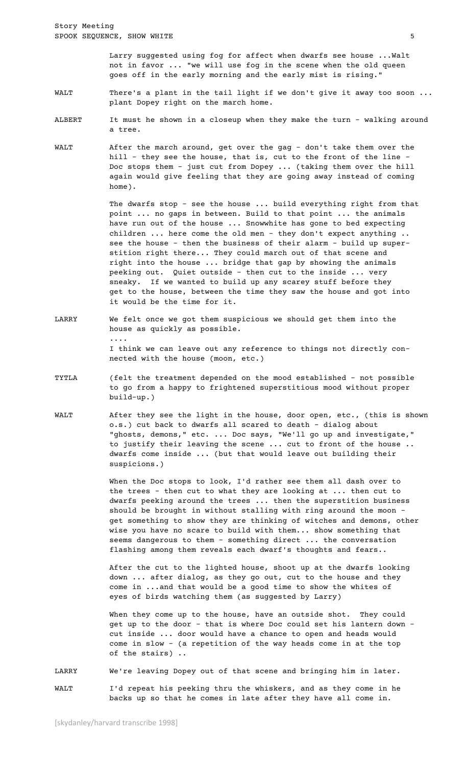Larry suggested using fog for affect when dwarfs see house ...Walt not in favor ... "we will use fog in the scene when the old queen goes off in the early morning and the early mist is rising."

- WALT There's a plant in the tail light if we don't give it away too soon ... plant Dopey right on the march home.
- ALBERT It must he shown in a closeup when they make the turn walking around a tree.
- WALT After the march around, get over the gag don't take them over the hill - they see the house, that is, cut to the front of the line – Doc stops them - just cut from Dopey ... (taking them over the hill again would give feeling that they are going away instead of coming home).

The dwarfs stop - see the house ... build everything right from that point ... no gaps in between. Build to that point ... the animals have run out of the house ... Snowwhite has gone to bed expecting children ... here come the old men - they don't expect anything .. see the house - then the business of their alarm - build up superstition right there... They could march out of that scene and right into the house ... bridge that gap by showing the animals peeking out. Quiet outside – then cut to the inside ... very sneaky. If we wanted to build up any scarey stuff before they get to the house, between the time they saw the house and got into it would be the time for it.

- LARRY We felt once we got them suspicious we should get them into the house as quickly as possible. .... I think we can leave out any reference to things not directly connected with the house (moon, etc.)
- TYTLA (felt the treatment depended on the mood established not possible to go from a happy to frightened superstitious mood without proper build-up.)
- WALT After they see the light in the house, door open, etc., (this is shown o.s.) cut back to dwarfs all scared to death - dialog about "ghosts, demons," etc. ... Doc says, "We'll go up and investigate," to justify their leaving the scene ... cut to front of the house .. dwarfs come inside ... (but that would leave out building their suspicions.)

When the Doc stops to look, I'd rather see them all dash over to the trees - then cut to what they are looking at ... then cut to dwarfs peeking around the trees ... then the superstition business should be brought in without stalling with ring around the moon – get something to show they are thinking of witches and demons, other wise you have no scare to build with them... show something that seems dangerous to them - something direct ... the conversation flashing among them reveals each dwarf's thoughts and fears..

After the cut to the lighted house, shoot up at the dwarfs looking down ... after dialog, as they go out, cut to the house and they come in ...and that would be a good time to show the whites of eyes of birds watching them (as suggested by Larry)

When they come up to the house, have an outside shot. They could get up to the door - that is where Doc could set his lantern down – cut inside ... door would have a chance to open and heads would come in slow - (a repetition of the way heads come in at the top of the stairs) ..

LARRY We're leaving Dopey out of that scene and bringing him in later.

WALT I'd repeat his peeking thru the whiskers, and as they come in he backs up so that he comes in late after they have all come in.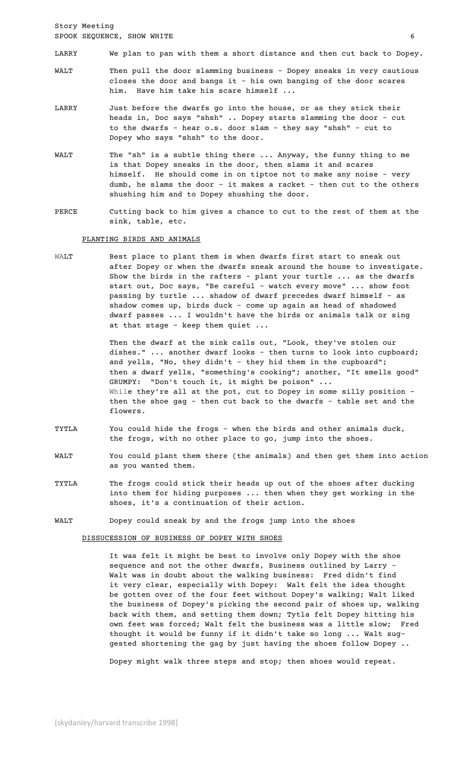Story Meeting SPOOK SEQUENCE, SHOW WHITE 6

- LARRY We plan to pan with them a short distance and then cut back to Dopey.
- WALT Then pull the door slamming business Dopey sneaks in very cautious closes the door and bangs it - his own banging of the door scares him. Have him take his scare himself ...
- LARRY Just before the dwarfs go into the house, or as they stick their heads in, Doc says "shsh" .. Dopey starts slamming the door - cut to the dwarfs - hear o.s. door slam - they say "shsh" - cut to Dopey who says "shsh" to the door.
- WALT The "sh" is a subtle thing there ... Anyway, the funny thing to me is that Dopey sneaks in the door, then slams it and scares himself. He should come in on tiptoe not to make any noise - very dumb, he slams the door - it makes a racket - then cut to the others shushing him and to Dopey shushing the door.
- PERCE Cutting back to him gives a chance to cut to the rest of them at the sink, table, etc.

PLANTING BIRDS AND ANIMALS

WALT Best place to plant them is when dwarfs first start to sneak out after Dopey or when the dwarfs sneak around the house to investigate. Show the birds in the rafters - plant your turtle ... as the dwarfs start out, Doc says, "Be careful - watch every move" ... show foot passing by turtle ... shadow of dwarf precedes dwarf himself - as shadow comes up, birds duck - come up again as head of shadowed dwarf passes ... I wouldn't have the birds or animals talk or sing at that stage - keep them quiet ...

> Then the dwarf at the sink calls out, "Look, they've stolen our dishes." ... another dwarf looks - then turns to look into cupboard; and yells, "No, they didn't - they hid them in the cupboard"; then a dwarf yells, "something's cooking"; another, "It smells good" GRUMPY: "Don't touch it, it might be poison" ... While they're all at the pot, cut to Dopey in some silly position then the shoe gag - then cut back to the dwarfs - table set and the flowers.

- TYTLA You could hide the frogs when the birds and other animals duck, the frogs, with no other place to go, jump into the shoes.
- WALT You could plant them there (the animals) and then get them into action as you wanted them.
- TYTLA The frogs could stick their heads up out of the shoes after ducking into them for hiding purposes ... then when they get working in the shoes, it's a continuation of their action.
- WALT Dopey could sneak by and the frogs jump into the shoes

DISSUCESSION OF BUSINESS OF DOPEY WITH SHOES

It was felt it might be best to involve only Dopey with the shoe sequence and not the other dwarfs, Business outlined by Larry – Walt was in doubt about the walking business: Fred didn't find it very clear, especially with Dopey: Walt felt the idea thought be gotten over of the four feet without Dopey's walking; Walt liked the business of Dopey's picking the second pair of shoes up, walking back with them, and setting them down; Tytla felt Dopey hitting his own feet was forced; Walt felt the business was a little slow; Fred thought it would be funny if it didn't take so long ... Walt suggested shortening the gag by just having the shoes follow Dopey ..

Dopey might walk three steps and stop; then shoes would repeat.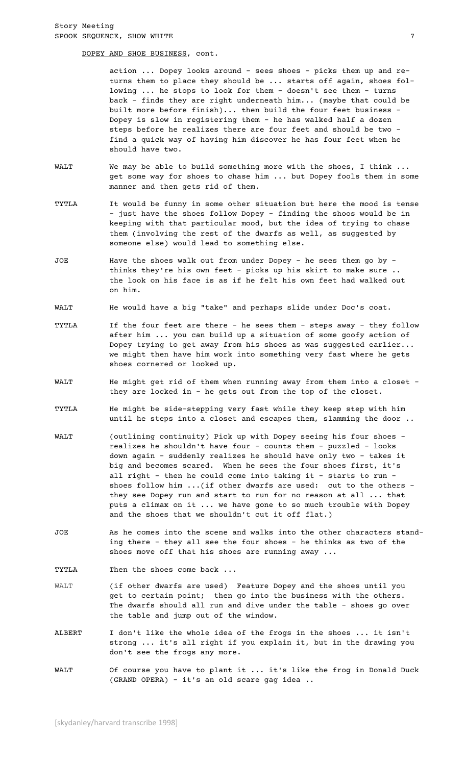DOPEY AND SHOE BUSINESS, cont.

action ... Dopey looks around - sees shoes - picks them up and returns them to place they should be ... starts off again, shoes following ... he stops to look for them - doesn't see them - turns back - finds they are right underneath him... (maybe that could be built more before finish)... then build the four feet business – Dopey is slow in registering them - he has walked half a dozen steps before he realizes there are four feet and should be two – find a quick way of having him discover he has four feet when he should have two.

- WALT We may be able to build something more with the shoes, I think ... get some way for shoes to chase him ... but Dopey fools them in some manner and then gets rid of them.
- TYTLA It would be funny in some other situation but here the mood is tense - just have the shoes follow Dopey - finding the shoos would be in keeping with that particular mood, but the idea of trying to chase them (involving the rest of the dwarfs as well, as suggested by someone else) would lead to something else.
- JOE Have the shoes walk out from under Dopey he sees them go by thinks they're his own feet - picks up his skirt to make sure .. the look on his face is as if he felt his own feet had walked out on him.
- WALT He would have a big "take" and perhaps slide under Doc's coat.
- TYTLA If the four feet are there he sees them steps away they follow after him ... you can build up a situation of some goofy action of Dopey trying to get away from his shoes as was suggested earlier... we might then have him work into something very fast where he gets shoes cornered or looked up.
- WALT He might get rid of them when running away from them into a closet they are locked in - he gets out from the top of the closet.
- TYTLA He might be side-stepping very fast while they keep step with him until he steps into a closet and escapes them, slamming the door ..
- WALT (outlining continuity) Pick up with Dopey seeing his four shoes realizes he shouldn't have four - counts them - puzzled - looks down again - suddenly realizes he should have only two - takes it big and becomes scared. When he sees the four shoes first, it's all right - then he could come into taking it - starts to run shoes follow him ...(if other dwarfs are used: cut to the others they see Dopey run and start to run for no reason at all ... that puts a climax on it ... we have gone to so much trouble with Dopey and the shoes that we shouldn't cut it off flat.)
- JOE As he comes into the scene and walks into the other characters standing there - they all see the four shoes - he thinks as two of the shoes move off that his shoes are running away ...

TYTLA Then the shoes come back ...

- WALT (if other dwarfs are used) Feature Dopey and the shoes until you get to certain point; then go into the business with the others. The dwarfs should all run and dive under the table – shoes go over the table and jump out of the window.
- ALBERT I don't like the whole idea of the frogs in the shoes ... it isn't strong ... it's all right if you explain it, but in the drawing you don't see the frogs any more.
- WALT Of course you have to plant it ... it's like the frog in Donald Duck (GRAND OPERA) – it's an old scare gag idea ..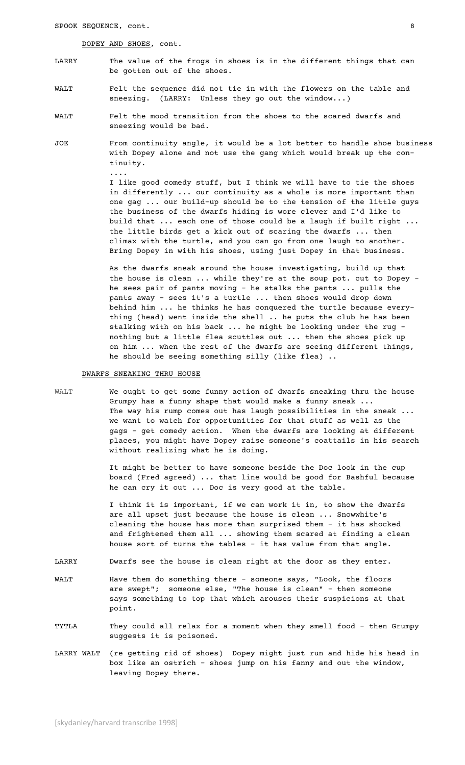DOPEY AND SHOES, cont.

....

- LARRY The value of the frogs in shoes is in the different things that can be gotten out of the shoes.
- WALT Felt the sequence did not tie in with the flowers on the table and sneezing. (LARRY: Unless they go out the window...)
- WALT Felt the mood transition from the shoes to the scared dwarfs and sneezing would be bad.
- JOE From continuity angle, it would be a lot better to handle shoe business with Dopey alone and not use the gang which would break up the continuity.

I like good comedy stuff, but I think we will have to tie the shoes in differently ... our continuity as a whole is more important than one gag ... our build-up should be to the tension of the little guys the business of the dwarfs hiding is wore clever and I'd like to build that ... each one of those could be a laugh if built right ... the little birds get a kick out of scaring the dwarfs ... then climax with the turtle, and you can go from one laugh to another. Bring Dopey in with his shoes, using just Dopey in that business.

As the dwarfs sneak around the house investigating, build up that the house is clean ... while they're at the soup pot. cut to Dopey – he sees pair of pants moving - he stalks the pants ... pulls the pants away - sees it's a turtle ... then shoes would drop down behind him ... he thinks he has conquered the turtle because everything (head) went inside the shell .. he puts the club he has been stalking with on his back ... he might be looking under the rug – nothing but a little flea scuttles out ... then the shoes pick up on him ... when the rest of the dwarfs are seeing different things, he should be seeing something silly (like flea) ..

# DWARFS SNEAKING THRU HOUSE

WALT We ought to get some funny action of dwarfs sneaking thru the house Grumpy has a funny shape that would make a funny sneak ... The way his rump comes out has laugh possibilities in the sneak ... we want to watch for opportunities for that stuff as well as the gags - get comedy action. When the dwarfs are looking at different places, you might have Dopey raise someone's coattails in his search without realizing what he is doing.

> It might be better to have someone beside the Doc look in the cup board (Fred agreed) ... that line would be good for Bashful because he can cry it out ... Doc is very good at the table.

I think it is important, if we can work it in, to show the dwarfs are all upset just because the house is clean ... Snowwhite's cleaning the house has more than surprised them - it has shocked and frightened them all ... showing them scared at finding a clean house sort of turns the tables - it has value from that angle.

- LARRY Dwarfs see the house is clean right at the door as they enter.
- WALT Have them do something there someone says, "Look, the floors are swept"; someone else, "The house is clean" - then someone says something to top that which arouses their suspicions at that point.
- TYTLA They could all relax for a moment when they smell food then Grumpy suggests it is poisoned.
- LARRY WALT (re getting rid of shoes) Dopey might just run and hide his head in box like an ostrich - shoes jump on his fanny and out the window, leaving Dopey there.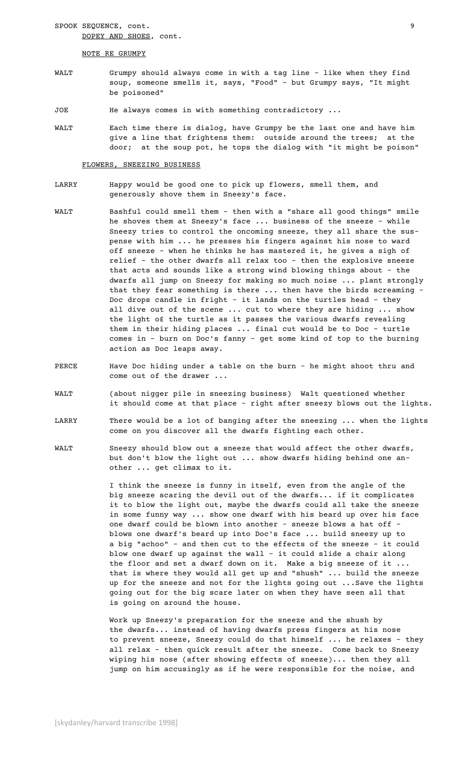SPOOK SEQUENCE, cont. 9 DOPEY AND SHOES, cont.

#### NOTE RE GRUMPY

- WALT Grumpy should always come in with a tag line like when they find soup, someone smells it, says, "Food" - but Grumpy says, "It might be poisoned"
- JOE He always comes in with something contradictory ...
- WALT Each time there is dialog, have Grumpy be the last one and have him give a line that frightens them: outside around the trees; at the door; at the soup pot, he tops the dialog with "it might be poison"

#### FLOWERS, SNEEZING BUSINESS

- LARRY Happy would be good one to pick up flowers, smell them, and generously shove them in Sneezy's face.
- WALT Bashful could smell them then with a "share all good things" smile he shoves them at Sneezy's face ... business of the sneeze - while Sneezy tries to control the oncoming sneeze, they all share the suspense with him ... he presses his fingers against his nose to ward off sneeze - when he thinks he has mastered it, he gives a sigh of relief - the other dwarfs all relax too - then the explosive sneeze that acts and sounds like a strong wind blowing things about - the dwarfs all jump on Sneezy for making so much noise ... plant strongly that they fear something is there ... then have the birds screaming – Doc drops candle in fright - it lands on the turtles head - they all dive out of the scene ... cut to where they are hiding ... show the light o£ the turtle as it passes the various dwarfs revealing them in their hiding places ... final cut would be to Doc - turtle comes in - burn on Doc's fanny – get some kind of top to the burning action as Doc leaps away.
- PERCE Have Doc hiding under a table on the burn he might shoot thru and come out of the drawer ...
- WALT (about nigger pile in sneezing business) Walt questioned whether it should come at that place - right after sneezy blows out the lights.
- LARRY There would be a lot of banging after the sneezing ... when the lights come on you discover all the dwarfs fighting each other.
- WALT Sneezy should blow out a sneeze that would affect the other dwarfs, but don't blow the light out ... show dwarfs hiding behind one another ... get climax to it.

I think the sneeze is funny in itself, even from the angle of the big sneeze scaring the devil out of the dwarfs... if it complicates it to blow the light out, maybe the dwarfs could all take the sneeze in some funny way ... show one dwarf with his beard up over his face one dwarf could be blown into another - sneeze blows a hat off blows one dwarf's beard up into Doc's face ... build sneezy up to a big "achoo" - and then cut to the effects of the sneeze - it could blow one dwarf up against the wall - it could slide a chair along the floor and set a dwarf down on it. Make a big sneeze of it ... that is where they would all get up and "shush" ... build the sneeze up for the sneeze and not for the lights going out ...Save the lights going out for the big scare later on when they have seen all that is going on around the house.

Work up Sneezy's preparation for the sneeze and the shush by the dwarfs... instead of having dwarfs press fingers at his nose to prevent sneeze, Sneezy could do that himself ... he relaxes - they all relax - then quick result after the sneeze. Come back to Sneezy wiping his nose (after showing effects of sneeze)... then they all jump on him accusingly as if he were responsible for the noise, and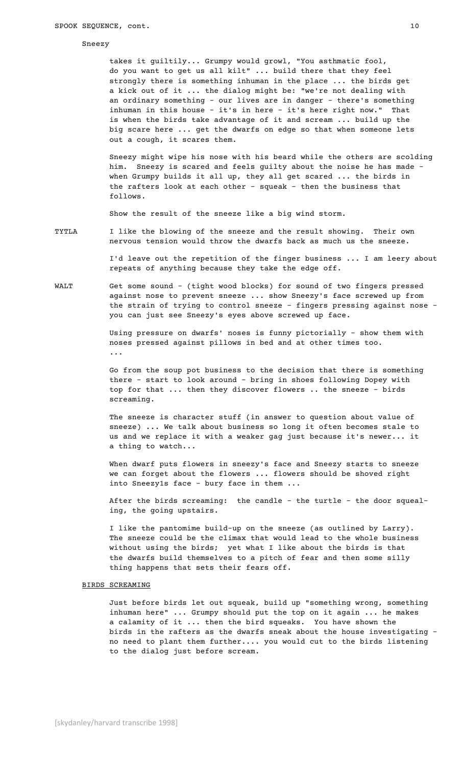## Sneezy

takes it guiltily... Grumpy would growl, "You asthmatic fool, do you want to get us all kilt" ... build there that they feel strongly there is something inhuman in the place ... the birds get a kick out of it ... the dialog might be: "we're not dealing with an ordinary something - our lives are in danger - there's something inhuman in this house - it's in here - it's here right now." That is when the birds take advantage of it and scream ... build up the big scare here ... get the dwarfs on edge so that when someone lets out a cough, it scares them.

Sneezy might wipe his nose with his beard while the others are scolding him. Sneezy is scared and feels guilty about the noise he has made – when Grumpy builds it all up, they all get scared ... the birds in the rafters look at each other - squeak - then the business that follows.

Show the result of the sneeze like a big wind storm.

TYTLA I like the blowing of the sneeze and the result showing. Their own nervous tension would throw the dwarfs back as much us the sneeze.

> I'd leave out the repetition of the finger business ... I am leery about repeats of anything because they take the edge off.

WALT Get some sound - (tight wood blocks) for sound of two fingers pressed against nose to prevent sneeze ... show Sneezy's face screwed up from the strain of trying to control sneeze - fingers pressing against nose you can just see Sneezy's eyes above screwed up face.

> Using pressure on dwarfs' noses is funny pictorially - show them with noses pressed against pillows in bed and at other times too. ...

> Go from the soup pot business to the decision that there is something there - start to look around - bring in shoes following Dopey with top for that ... then they discover flowers .. the sneeze - birds screaming.

The sneeze is character stuff (in answer to question about value of sneeze) ... We talk about business so long it often becomes stale to us and we replace it with a weaker gag just because it's newer... it a thing to watch...

When dwarf puts flowers in sneezy's face and Sneezy starts to sneeze we can forget about the flowers ... flowers should be shoved right into Sneezy1s face - bury face in them ...

After the birds screaming: the candle - the turtle - the door squealing, the going upstairs.

I like the pantomime build-up on the sneeze (as outlined by Larry). The sneeze could be the climax that would lead to the whole business without using the birds; yet what I like about the birds is that the dwarfs build themselves to a pitch of fear and then some silly thing happens that sets their fears off.

## BIRDS SCREAMING

Just before birds let out squeak, build up "something wrong, something inhuman here" ... Grumpy should put the top on it again ... he makes a calamity of it ... then the bird squeaks. You have shown the birds in the rafters as the dwarfs sneak about the house investigating – no need to plant them further.... you would cut to the birds listening to the dialog just before scream.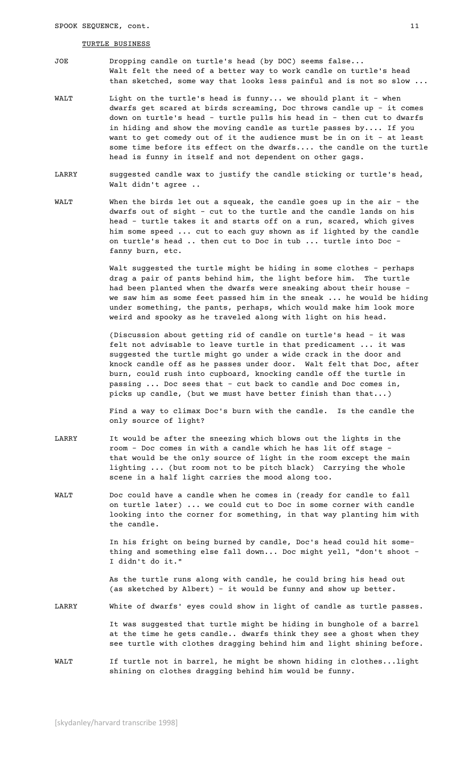# TURTLE BUSINESS

- JOE Dropping candle on turtle's head (by DOC) seems false... Walt felt the need of a better way to work candle on turtle's head than sketched, some way that looks less painful and is not so slow ...
- WALT Light on the turtle's head is funny... we should plant it when dwarfs get scared at birds screaming, Doc throws candle up - it comes down on turtle's head - turtle pulls his head in - then cut to dwarfs in hiding and show the moving candle as turtle passes by.... If you want to get comedy out of it the audience must be in on it - at least some time before its effect on the dwarfs.... the candle on the turtle head is funny in itself and not dependent on other gags.
- LARRY suggested candle wax to justify the candle sticking or turtle's head, Walt didn't agree ..
- WALT When the birds let out a squeak, the candle goes up in the air the dwarfs out of sight - cut to the turtle and the candle lands on his head - turtle takes it and starts off on a run, scared, which gives him some speed ... cut to each guy shown as if lighted by the candle on turtle's head .. then cut to Doc in tub ... turtle into Doc – fanny burn, etc.

Walt suggested the turtle might be hiding in some clothes – perhaps drag a pair of pants behind him, the light before him. The turtle had been planted when the dwarfs were sneaking about their house – we saw him as some feet passed him in the sneak ... he would be hiding under something, the pants, perhaps, which would make him look more weird and spooky as he traveled along with light on his head.

(Discussion about getting rid of candle on turtle's head - it was felt not advisable to leave turtle in that predicament ... it was suggested the turtle might go under a wide crack in the door and knock candle off as he passes under door. Walt felt that Doc, after burn, could rush into cupboard, knocking candle off the turtle in passing ... Doc sees that - cut back to candle and Doc comes in, picks up candle, (but we must have better finish than that...)

Find a way to climax Doc's burn with the candle. Is the candle the only source of light?

- LARRY It would be after the sneezing which blows out the lights in the room - Doc comes in with a candle which he has lit off stage – that would be the only source of light in the room except the main lighting ... (but room not to be pitch black) Carrying the whole scene in a half light carries the mood along too.
- WALT Doc could have a candle when he comes in (ready for candle to fall on turtle later) ... we could cut to Doc in some corner with candle looking into the corner for something, in that way planting him with the candle.

In his fright on being burned by candle, Doc's head could hit something and something else fall down... Doc might yell, "don't shoot – I didn't do it."

As the turtle runs along with candle, he could bring his head out (as sketched by Albert) - it would be funny and show up better.

LARRY White of dwarfs' eyes could show in light of candle as turtle passes.

It was suggested that turtle might be hiding in bunghole of a barrel at the time he gets candle.. dwarfs think they see a ghost when they see turtle with clothes dragging behind him and light shining before.

WALT If turtle not in barrel, he might be shown hiding in clothes...light shining on clothes dragging behind him would be funny.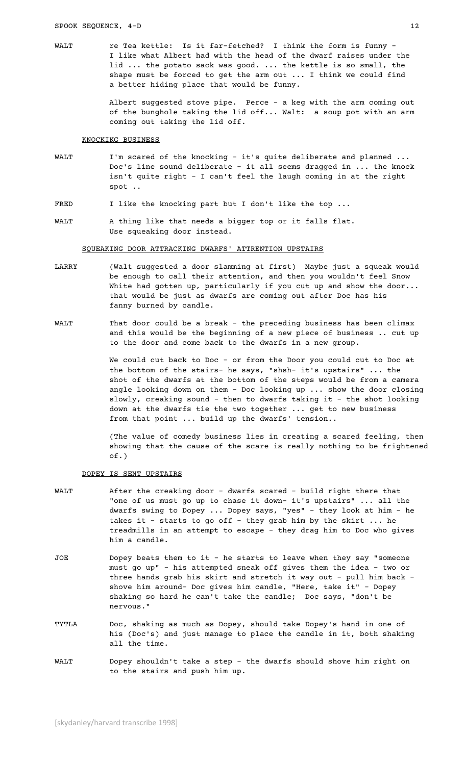WALT FREE TEA KETTLE: Is it far-fetched? I think the form is funny -I like what Albert had with the head of the dwarf raises under the lid ... the potato sack was good. ... the kettle is so small, the shape must be forced to get the arm out ... I think we could find a better hiding place that would be funny.

> Albert suggested stove pipe. Perce - a keg with the arm coming out of the bunghole taking the lid off... Walt: a soup pot with an arm coming out taking the lid off.

## KNQCKIKG BUSINESS

- WALT I'm scared of the knocking it's quite deliberate and planned ... Doc's line sound deliberate - it all seems dragged in ... the knock isn't quite right - I can't feel the laugh coming in at the right spot ..
- FRED I like the knocking part but I don't like the top ...
- WALT A thing like that needs a bigger top or it falls flat. Use squeaking door instead.

## SQUEAKING DOOR ATTRACKING DWARFS' ATTRENTION UPSTAIRS

- LARRY (Walt suggested a door slamming at first) Maybe just a squeak would be enough to call their attention, and then you wouldn't feel Snow White had gotten up, particularly if you cut up and show the door... that would be just as dwarfs are coming out after Doc has his fanny burned by candle.
- WALT That door could be a break the preceding business has been climax and this would be the beginning of a new piece of business .. cut up to the door and come back to the dwarfs in a new group.

We could cut back to Doc - or from the Door you could cut to Doc at the bottom of the stairs- he says, "shsh- it's upstairs" ... the shot of the dwarfs at the bottom of the steps would be from a camera angle looking down on them - Doc looking up ... show the door closing slowly, creaking sound - then to dwarfs taking it - the shot looking down at the dwarfs tie the two together ... get to new business from that point ... build up the dwarfs' tension..

(The value of comedy business lies in creating a scared feeling, then showing that the cause of the scare is really nothing to be frightened of.)

# DOPEY IS SENT UPSTAIRS

- WALT After the creaking door dwarfs scared build right there that "one of us must go up to chase it down- it's upstairs" ... all the dwarfs swing to Dopey ... Dopey says, "yes" - they look at him - he takes it - starts to go off - they grab him by the skirt ... he treadmills in an attempt to escape - they drag him to Doc who gives him a candle.
- JOE Dopey beats them to it he starts to leave when they say "someone must go up" - his attempted sneak off gives them the idea - two or three hands grab his skirt and stretch it way out - pull him back shove him around- Doc gives him candle, "Here, take it" - Dopey shaking so hard he can't take the candle; Doc says, "don't be nervous."
- TYTLA Doc, shaking as much as Dopey, should take Dopey's hand in one of his (Doc's) and just manage to place the candle in it, both shaking all the time.
- WALT Dopey shouldn't take a step the dwarfs should shove him right on to the stairs and push him up.